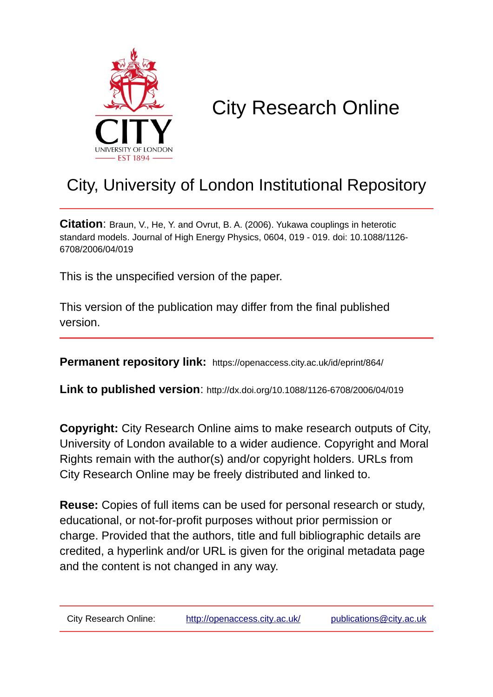

# City Research Online

# City, University of London Institutional Repository

**Citation**: Braun, V., He, Y. and Ovrut, B. A. (2006). Yukawa couplings in heterotic standard models. Journal of High Energy Physics, 0604, 019 - 019. doi: 10.1088/1126- 6708/2006/04/019

This is the unspecified version of the paper.

This version of the publication may differ from the final published version.

**Permanent repository link:** https://openaccess.city.ac.uk/id/eprint/864/

**Link to published version**: http://dx.doi.org/10.1088/1126-6708/2006/04/019

**Copyright:** City Research Online aims to make research outputs of City, University of London available to a wider audience. Copyright and Moral Rights remain with the author(s) and/or copyright holders. URLs from City Research Online may be freely distributed and linked to.

**Reuse:** Copies of full items can be used for personal research or study, educational, or not-for-profit purposes without prior permission or charge. Provided that the authors, title and full bibliographic details are credited, a hyperlink and/or URL is given for the original metadata page and the content is not changed in any way.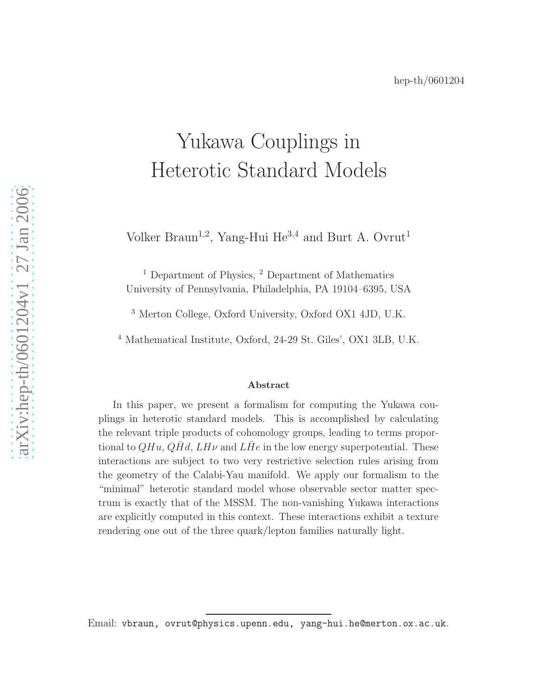# Yukawa Couplings in Heterotic Standard Models

Volker Braun<sup>1,2</sup>, Yang-Hui He<sup>3,4</sup> and Burt A. Ovrut<sup>1</sup>

<sup>1</sup> Department of Physics, <sup>2</sup> Department of Mathematics University of Pennsylvania, Philadelphia, PA 19104–6395, USA

<sup>3</sup> Merton College, Oxford University, Oxford OX1 4JD, U.K.

<sup>4</sup> Mathematical Institute, Oxford, 24-29 St. Giles', OX1 3LB, U.K.

#### Abstract

In this paper, we present a formalism for computing the Yukawa couplings in heterotic standard models. This is accomplished by calculating the relevant triple products of cohomology groups, leading to terms proportional to  $QHu, QHd, LH\nu$  and  $LHe$  in the low energy superpotential. These interactions are subject to two very restrictive selection rules arising from the geometry of the Calabi-Yau manifold. We apply our formalism to the "minimal" heterotic standard model whose observable sector matter spectrum is exactly that of the MSSM. The non-vanishing Yukawa interactions are explicitly computed in this context. These interactions exhibit a texture rendering one out of the three quark/lepton families naturally light.

Email: vbraun, ovrut@physics.upenn.edu, yang-hui.he@merton.ox.ac.uk.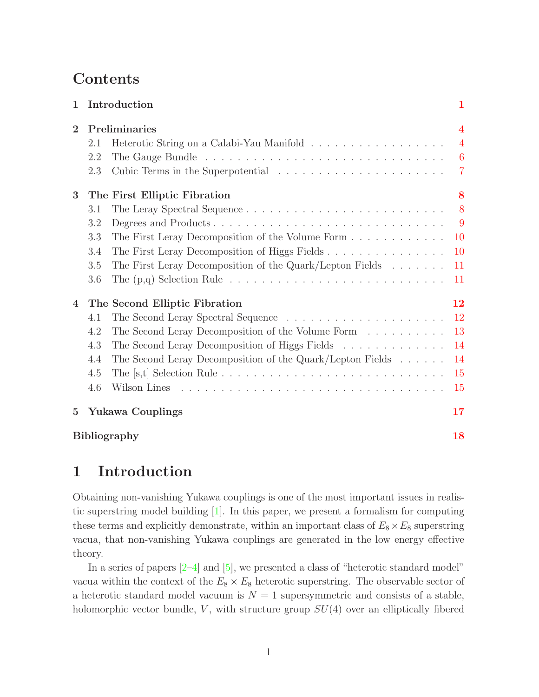# Contents

| $\mathbf{1}$   |                              | Introduction                                                                                     | 1              |  |  |
|----------------|------------------------------|--------------------------------------------------------------------------------------------------|----------------|--|--|
| $\overline{2}$ | Preliminaries                |                                                                                                  |                |  |  |
|                | 2.1                          |                                                                                                  | $\overline{4}$ |  |  |
|                | 2.2                          |                                                                                                  | $-6$           |  |  |
|                | 2.3                          |                                                                                                  | $\overline{7}$ |  |  |
| 3              | The First Elliptic Fibration |                                                                                                  |                |  |  |
|                | 3.1                          |                                                                                                  | 8              |  |  |
|                | 3.2                          | Degrees and Products                                                                             | $\overline{9}$ |  |  |
|                | 3.3                          | The First Leray Decomposition of the Volume Form                                                 | <b>10</b>      |  |  |
|                | 3.4                          | The First Leray Decomposition of Higgs Fields                                                    | <b>10</b>      |  |  |
|                | 3.5                          | The First Leray Decomposition of the Quark/Lepton Fields                                         | 11             |  |  |
|                | 3.6                          | The $(p,q)$ Selection Rule $\ldots \ldots \ldots \ldots \ldots \ldots \ldots \ldots \ldots$      | 11             |  |  |
| 4              |                              | The Second Elliptic Fibration                                                                    | 12             |  |  |
|                | 4.1                          |                                                                                                  | <sup>12</sup>  |  |  |
|                | 4.2                          | The Second Leray Decomposition of the Volume Form                                                | 13             |  |  |
|                | 4.3                          | The Second Leray Decomposition of Higgs Fields                                                   | 14             |  |  |
|                | 4.4                          | The Second Leray Decomposition of the Quark/Lepton Fields                                        | 14             |  |  |
|                | 4.5                          | The [s,t] Selection Rule $\ldots \ldots \ldots \ldots \ldots \ldots \ldots \ldots \ldots \ldots$ | 15             |  |  |
|                | 4.6                          |                                                                                                  | 15             |  |  |
| $\bf{5}$       |                              | <b>Yukawa Couplings</b>                                                                          | 17             |  |  |
|                |                              | <b>Bibliography</b>                                                                              | 18             |  |  |

# <span id="page-2-0"></span>1 Introduction

Obtaining non-vanishing Yukawa couplings is one of the most important issues in realistic superstring model building [\[1](#page-19-1)]. In this paper, we present a formalism for computing these terms and explicitly demonstrate, within an important class of  $E_8 \times E_8$  superstring vacua, that non-vanishing Yukawa couplings are generated in the low energy effective theory.

In a series of papers  $[2-4]$  and  $[5]$ , we presented a class of "heterotic standard model" vacua within the context of the  $E_8 \times E_8$  heterotic superstring. The observable sector of a heterotic standard model vacuum is  $N = 1$  supersymmetric and consists of a stable, holomorphic vector bundle,  $V$ , with structure group  $SU(4)$  over an elliptically fibered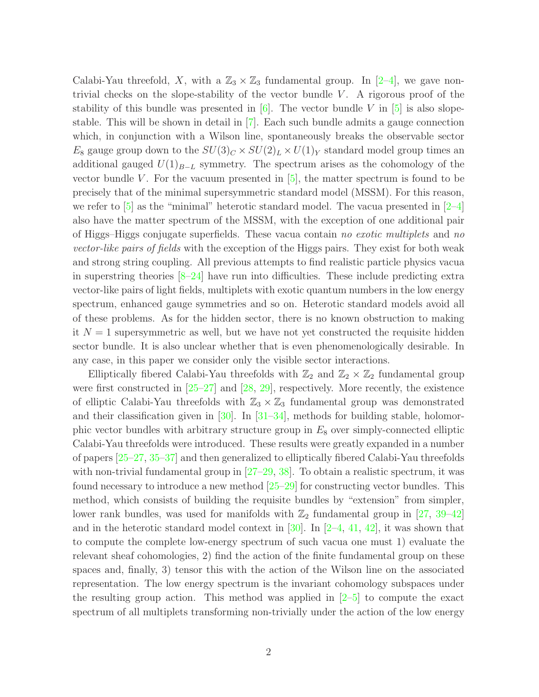Calabi-Yau threefold, X, with a  $\mathbb{Z}_3 \times \mathbb{Z}_3$  fundamental group. In [\[2](#page-19-2)[–4](#page-19-4)], we gave nontrivial checks on the slope-stability of the vector bundle  $V$ . A rigorous proof of the stability of this bundle was presented in [\[6](#page-20-1)]. The vector bundle V in [\[5\]](#page-20-0) is also slopestable. This will be shown in detail in [\[7](#page-20-2)]. Each such bundle admits a gauge connection which, in conjunction with a Wilson line, spontaneously breaks the observable sector  $E_8$  gauge group down to the  $SU(3)_C \times SU(2)_L \times U(1)_Y$  standard model group times an additional gauged  $U(1)_{B-L}$  symmetry. The spectrum arises as the cohomology of the vector bundle V. For the vacuum presented in  $[5]$ , the matter spectrum is found to be precisely that of the minimal supersymmetric standard model (MSSM). For this reason, we refer to  $\overline{5}$  as the "minimal" heterotic standard model. The vacua presented in  $\overline{2-4}$ also have the matter spectrum of the MSSM, with the exception of one additional pair of Higgs–Higgs conjugate superfields. These vacua contain *no exotic multiplets* and *no vector-like pairs of fields* with the exception of the Higgs pairs. They exist for both weak and strong string coupling. All previous attempts to find realistic particle physics vacua in superstring theories  $[8-24]$  have run into difficulties. These include predicting extra vector-like pairs of light fields, multiplets with exotic quantum numbers in the low energy spectrum, enhanced gauge symmetries and so on. Heterotic standard models avoid all of these problems. As for the hidden sector, there is no known obstruction to making it  $N = 1$  supersymmetric as well, but we have not yet constructed the requisite hidden sector bundle. It is also unclear whether that is even phenomenologically desirable. In any case, in this paper we consider only the visible sector interactions.

Elliptically fibered Calabi-Yau threefolds with  $\mathbb{Z}_2$  and  $\mathbb{Z}_2 \times \mathbb{Z}_2$  fundamental group were first constructed in [\[25](#page-21-5)[–27](#page-21-7)] and [\[28](#page-21-8), [29\]](#page-21-9), respectively. More recently, the existence of elliptic Calabi-Yau threefolds with  $\mathbb{Z}_3 \times \mathbb{Z}_3$  fundamental group was demonstrated and their classification given in [\[30](#page-21-10)]. In [\[31](#page-21-11)[–34](#page-21-14)], methods for building stable, holomorphic vector bundles with arbitrary structure group in  $E_8$  over simply-connected elliptic Calabi-Yau threefolds were introduced. These results were greatly expanded in a number of papers [\[25](#page-21-5)[–27,](#page-21-7) [35](#page-22-0)[–37\]](#page-22-2) and then generalized to elliptically fibered Calabi-Yau threefolds with non-trivial fundamental group in  $[27–29, 38]$  $[27–29, 38]$  $[27–29, 38]$  $[27–29, 38]$ . To obtain a realistic spectrum, it was found necessary to introduce a new method [\[25](#page-21-5)[–29\]](#page-21-9) for constructing vector bundles. This method, which consists of building the requisite bundles by "extension" from simpler, lower rank bundles, was used for manifolds with  $\mathbb{Z}_2$  fundamental group in [\[27](#page-21-7), [39](#page-22-4)[–42\]](#page-22-7) and in the heterotic standard model context in [\[30\]](#page-21-10). In  $[2-4, 41, 42]$  $[2-4, 41, 42]$  $[2-4, 41, 42]$  $[2-4, 41, 42]$  $[2-4, 41, 42]$ , it was shown that to compute the complete low-energy spectrum of such vacua one must 1) evaluate the relevant sheaf cohomologies, 2) find the action of the finite fundamental group on these spaces and, finally, 3) tensor this with the action of the Wilson line on the associated representation. The low energy spectrum is the invariant cohomology subspaces under the resulting group action. This method was applied in  $[2-5]$  to compute the exact spectrum of all multiplets transforming non-trivially under the action of the low energy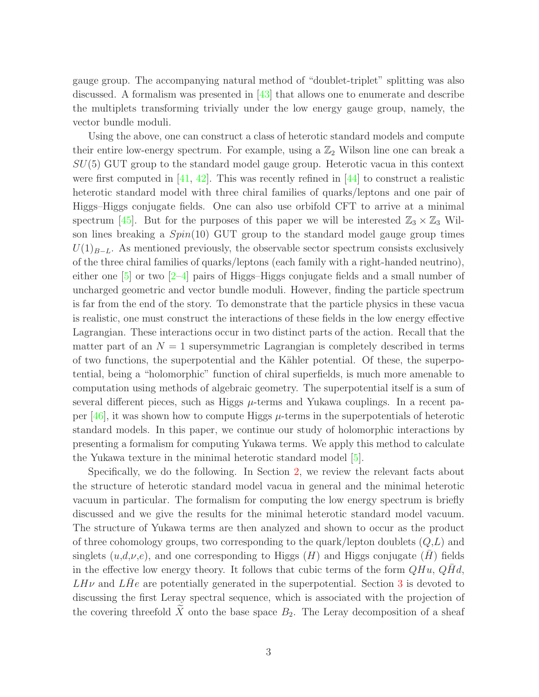gauge group. The accompanying natural method of "doublet-triplet" splitting was also discussed. A formalism was presented in [\[43](#page-22-8)] that allows one to enumerate and describe the multiplets transforming trivially under the low energy gauge group, namely, the vector bundle moduli.

Using the above, one can construct a class of heterotic standard models and compute their entire low-energy spectrum. For example, using a  $\mathbb{Z}_2$  Wilson line one can break a  $SU(5)$  GUT group to the standard model gauge group. Heterotic vacua in this context were first computed in [\[41,](#page-22-6) [42](#page-22-7)]. This was recently refined in [\[44\]](#page-22-9) to construct a realistic heterotic standard model with three chiral families of quarks/leptons and one pair of Higgs–Higgs conjugate fields. One can also use orbifold CFT to arrive at a minimal spectrum [\[45](#page-22-10)]. But for the purposes of this paper we will be interested  $\mathbb{Z}_3 \times \mathbb{Z}_3$  Wilson lines breaking a  $Spin(10)$  GUT group to the standard model gauge group times  $U(1)_{B-L}$ . As mentioned previously, the observable sector spectrum consists exclusively of the three chiral families of quarks/leptons (each family with a right-handed neutrino), either one  $\left[5\right]$  or two  $\left[2-4\right]$  pairs of Higgs–Higgs conjugate fields and a small number of uncharged geometric and vector bundle moduli. However, finding the particle spectrum is far from the end of the story. To demonstrate that the particle physics in these vacua is realistic, one must construct the interactions of these fields in the low energy effective Lagrangian. These interactions occur in two distinct parts of the action. Recall that the matter part of an  $N = 1$  supersymmetric Lagrangian is completely described in terms of two functions, the superpotential and the K¨ahler potential. Of these, the superpotential, being a "holomorphic" function of chiral superfields, is much more amenable to computation using methods of algebraic geometry. The superpotential itself is a sum of several different pieces, such as Higgs  $\mu$ -terms and Yukawa couplings. In a recent paper  $[46]$ , it was shown how to compute Higgs  $\mu$ -terms in the superpotentials of heterotic standard models. In this paper, we continue our study of holomorphic interactions by presenting a formalism for computing Yukawa terms. We apply this method to calculate the Yukawa texture in the minimal heterotic standard model  $[5]$ .

Specifically, we do the following. In Section [2,](#page-5-0) we review the relevant facts about the structure of heterotic standard model vacua in general and the minimal heterotic vacuum in particular. The formalism for computing the low energy spectrum is briefly discussed and we give the results for the minimal heterotic standard model vacuum. The structure of Yukawa terms are then analyzed and shown to occur as the product of three cohomology groups, two corresponding to the quark/lepton doublets  $(Q, L)$  and singlets  $(u,d,\nu,e)$ , and one corresponding to Higgs  $(H)$  and Higgs conjugate  $(H)$  fields in the effective low energy theory. It follows that cubic terms of the form  $QHu$ ,  $QHd$ ,  $LH\nu$  and  $LHe$  are potentially generated in the superpotential. Section [3](#page-9-0) is devoted to discussing the first Leray spectral sequence, which is associated with the projection of the covering threefold  $\widetilde{X}$  onto the base space  $B_2$ . The Leray decomposition of a sheaf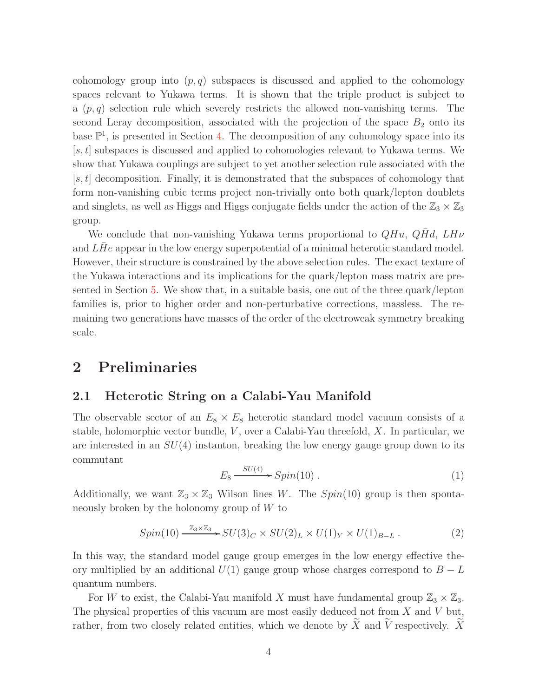cohomology group into  $(p, q)$  subspaces is discussed and applied to the cohomology spaces relevant to Yukawa terms. It is shown that the triple product is subject to a  $(p, q)$  selection rule which severely restricts the allowed non-vanishing terms. The second Leray decomposition, associated with the projection of the space  $B_2$  onto its base  $\mathbb{P}^1$ , is presented in Section [4.](#page-13-0) The decomposition of any cohomology space into its  $[s, t]$  subspaces is discussed and applied to cohomologies relevant to Yukawa terms. We show that Yukawa couplings are subject to yet another selection rule associated with the  $[s, t]$  decomposition. Finally, it is demonstrated that the subspaces of cohomology that form non-vanishing cubic terms project non-trivially onto both quark/lepton doublets and singlets, as well as Higgs and Higgs conjugate fields under the action of the  $\mathbb{Z}_3 \times \mathbb{Z}_3$ group.

We conclude that non-vanishing Yukawa terms proportional to  $QHu$ ,  $QHd$ ,  $LH\nu$ and  $LHe$  appear in the low energy superpotential of a minimal heterotic standard model. However, their structure is constrained by the above selection rules. The exact texture of the Yukawa interactions and its implications for the quark/lepton mass matrix are presented in Section [5.](#page-18-0) We show that, in a suitable basis, one out of the three quark/lepton families is, prior to higher order and non-perturbative corrections, massless. The remaining two generations have masses of the order of the electroweak symmetry breaking scale.

## <span id="page-5-1"></span><span id="page-5-0"></span>2 Preliminaries

## 2.1 Heterotic String on a Calabi-Yau Manifold

The observable sector of an  $E_8 \times E_8$  heterotic standard model vacuum consists of a stable, holomorphic vector bundle,  $V$ , over a Calabi-Yau threefold,  $X$ . In particular, we are interested in an  $SU(4)$  instanton, breaking the low energy gauge group down to its commutant

$$
E_8 \xrightarrow{SU(4)} Spin(10) . \tag{1}
$$

Additionally, we want  $\mathbb{Z}_3 \times \mathbb{Z}_3$  Wilson lines W. The  $Spin(10)$  group is then spontaneously broken by the holonomy group of  $W$  to

$$
Spin(10) \xrightarrow{\mathbb{Z}_3 \times \mathbb{Z}_3} SU(3)_C \times SU(2)_L \times U(1)_Y \times U(1)_{B-L} . \tag{2}
$$

In this way, the standard model gauge group emerges in the low energy effective theory multiplied by an additional  $U(1)$  gauge group whose charges correspond to  $B - L$ quantum numbers.

For W to exist, the Calabi-Yau manifold X must have fundamental group  $\mathbb{Z}_3 \times \mathbb{Z}_3$ . The physical properties of this vacuum are most easily deduced not from  $X$  and  $V$  but, rather, from two closely related entities, which we denote by  $\overline{X}$  and  $\overline{V}$  respectively.  $\overline{X}$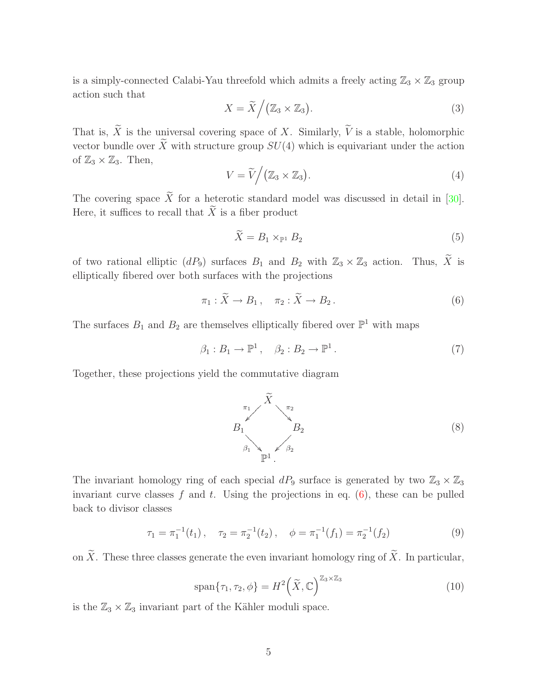is a simply-connected Calabi-Yau threefold which admits a freely acting  $\mathbb{Z}_3 \times \mathbb{Z}_3$  group action such that

$$
X = \widetilde{X} / (\mathbb{Z}_3 \times \mathbb{Z}_3). \tag{3}
$$

<span id="page-6-1"></span>That is,  $\widetilde{X}$  is the universal covering space of X. Similarly,  $\widetilde{V}$  is a stable, holomorphic vector bundle over  $\widetilde{X}$  with structure group  $SU(4)$  which is equivariant under the action of  $\mathbb{Z}_3 \times \mathbb{Z}_3$ . Then,

$$
V = \widetilde{V} / (\mathbb{Z}_3 \times \mathbb{Z}_3). \tag{4}
$$

The covering space  $\widetilde{X}$  for a heterotic standard model was discussed in detail in [\[30](#page-21-10)]. Here, it suffices to recall that  $\widetilde{X}$  is a fiber product

<span id="page-6-0"></span>
$$
\tilde{X} = B_1 \times_{\mathbb{P}^1} B_2 \tag{5}
$$

of two rational elliptic  $(dP_9)$  surfaces  $B_1$  and  $B_2$  with  $\mathbb{Z}_3 \times \mathbb{Z}_3$  action. Thus,  $\widetilde{X}$  is elliptically fibered over both surfaces with the projections

$$
\pi_1 : \widetilde{X} \to B_1 \,, \quad \pi_2 : \widetilde{X} \to B_2 \,. \tag{6}
$$

The surfaces  $B_1$  and  $B_2$  are themselves elliptically fibered over  $\mathbb{P}^1$  with maps

$$
\beta_1: B_1 \to \mathbb{P}^1 \,, \quad \beta_2: B_2 \to \mathbb{P}^1 \,. \tag{7}
$$

Together, these projections yield the commutative diagram



The invariant homology ring of each special  $dP_9$  surface is generated by two  $\mathbb{Z}_3 \times \mathbb{Z}_3$ invariant curve classes f and t. Using the projections in eq.  $(6)$ , these can be pulled back to divisor classes

$$
\tau_1 = \pi_1^{-1}(t_1), \quad \tau_2 = \pi_2^{-1}(t_2), \quad \phi = \pi_1^{-1}(f_1) = \pi_2^{-1}(f_2)
$$
\n(9)

on  $\widetilde{X}$ . These three classes generate the even invariant homology ring of  $\widetilde{X}$ . In particular,

$$
\text{span}\{\tau_1, \tau_2, \phi\} = H^2\left(\widetilde{X}, \mathbb{C}\right)^{\mathbb{Z}_3 \times \mathbb{Z}_3} \tag{10}
$$

is the  $\mathbb{Z}_3 \times \mathbb{Z}_3$  invariant part of the Kähler moduli space.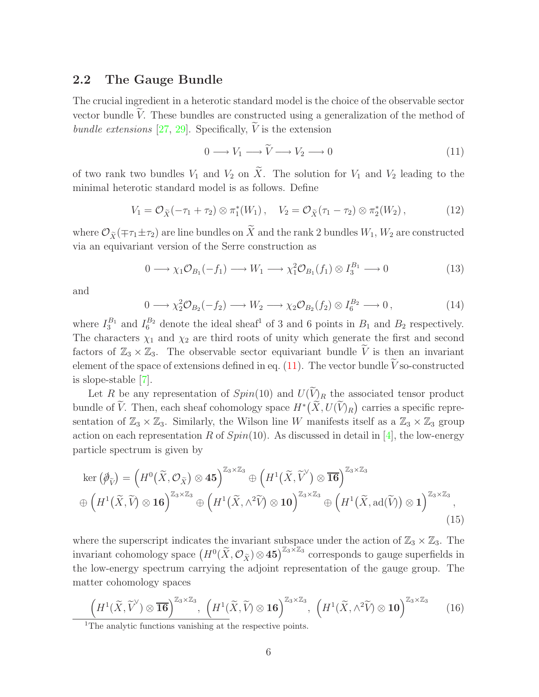#### <span id="page-7-0"></span>2.2 The Gauge Bundle

The crucial ingredient in a heterotic standard model is the choice of the observable sector vector bundle  $V$ . These bundles are constructed using a generalization of the method of *bundle extensions* [\[27](#page-21-7), [29\]](#page-21-9). Specifically,  $\hat{V}$  is the extension

<span id="page-7-1"></span>
$$
0 \longrightarrow V_1 \longrightarrow \widetilde{V} \longrightarrow V_2 \longrightarrow 0 \tag{11}
$$

of two rank two bundles  $V_1$  and  $V_2$  on  $\widetilde{X}$ . The solution for  $V_1$  and  $V_2$  leading to the minimal heterotic standard model is as follows. Define

$$
V_1 = \mathcal{O}_{\tilde{X}}(-\tau_1 + \tau_2) \otimes \pi_1^*(W_1), \quad V_2 = \mathcal{O}_{\tilde{X}}(\tau_1 - \tau_2) \otimes \pi_2^*(W_2), \tag{12}
$$

where  $\mathcal{O}_{\tilde{X}}(\mp \tau_1 \pm \tau_2)$  are line bundles on  $\tilde{X}$  and the rank 2 bundles  $W_1, W_2$  are constructed via an equivariant version of the Serre construction as

$$
0 \longrightarrow \chi_1 \mathcal{O}_{B_1}(-f_1) \longrightarrow W_1 \longrightarrow \chi_1^2 \mathcal{O}_{B_1}(f_1) \otimes I_3^{B_1} \longrightarrow 0 \tag{13}
$$

<span id="page-7-3"></span>and

$$
0 \longrightarrow \chi_2^2 \mathcal{O}_{B_2}(-f_2) \longrightarrow W_2 \longrightarrow \chi_2 \mathcal{O}_{B_2}(f_2) \otimes I_6^{B_2} \longrightarrow 0,
$$
\n(14)

where  $I_3^{B_1}$  and  $I_6^{B_2}$  denote the ideal sheaf<sup>1</sup> of 3 and 6 points in  $B_1$  and  $B_2$  respectively. The characters  $\chi_1$  and  $\chi_2$  are third roots of unity which generate the first and second factors of  $\mathbb{Z}_3 \times \mathbb{Z}_3$ . The observable sector equivariant bundle  $\widetilde{V}$  is then an invariant element of the space of extensions defined in eq.  $(11)$ . The vector bundle Vso-constructed is slope-stable [\[7\]](#page-20-2).

Let R be any representation of  $Spin(10)$  and  $U(\widetilde{V})_R$  the associated tensor product bundle of  $\widetilde{V}$ . Then, each sheaf cohomology space  $H^*(\widetilde{X}, U(\widetilde{V})_R)$  carries a specific representation of  $\mathbb{Z}_3 \times \mathbb{Z}_3$ . Similarly, the Wilson line W manifests itself as a  $\mathbb{Z}_3 \times \mathbb{Z}_3$  group action on each representation R of  $Spin(10)$ . As discussed in detail in [\[4](#page-19-4)], the low-energy particle spectrum is given by

<span id="page-7-2"></span>
$$
\ker\left(\mathcal{\tilde{P}}_{\tilde{V}}\right) = \left(H^{0}\left(\tilde{X}, \mathcal{O}_{\tilde{X}}\right) \otimes \mathbf{45}\right)^{\mathbb{Z}_{3} \times \mathbb{Z}_{3}} \oplus \left(H^{1}\left(\tilde{X}, \tilde{V}^{\vee}\right) \otimes \overline{\mathbf{16}}\right)^{\mathbb{Z}_{3} \times \mathbb{Z}_{3}} \n\oplus \left(H^{1}\left(\tilde{X}, \tilde{V}\right) \otimes \mathbf{16}\right)^{\mathbb{Z}_{3} \times \mathbb{Z}_{3}} \oplus \left(H^{1}\left(\tilde{X}, \wedge^{2} \tilde{V}\right) \otimes \mathbf{10}\right)^{\mathbb{Z}_{3} \times \mathbb{Z}_{3}} \oplus \left(H^{1}\left(\tilde{X}, \mathrm{ad}(\tilde{V})\right) \otimes \mathbf{1}\right)^{\mathbb{Z}_{3} \times \mathbb{Z}_{3}},
$$
\n(15)

where the superscript indicates the invariant subspace under the action of  $\mathbb{Z}_3 \times \mathbb{Z}_3$ . The invariant cohomology space  $(H^0(\tilde{X}, \mathcal{O}_{\tilde{X}}) \otimes 45)^{\mathbb{Z}_3 \times \mathbb{Z}_3}$  corresponds to gauge superfields in the low-energy spectrum carrying the adjoint representation of the gauge group. The matter cohomology spaces

<span id="page-7-4"></span>
$$
\left(H^{1}(\widetilde{X},\widetilde{V}')\otimes\overline{\mathbf{16}}\right)^{\mathbb{Z}_{3}\times\mathbb{Z}_{3}},\,\left(H^{1}(\widetilde{X},\widetilde{V})\otimes\mathbf{16}\right)^{\mathbb{Z}_{3}\times\mathbb{Z}_{3}},\,\left(H^{1}(\widetilde{X},\wedge^{2}\widetilde{V})\otimes\mathbf{10}\right)^{\mathbb{Z}_{3}\times\mathbb{Z}_{3}}\tag{16}
$$

<sup>&</sup>lt;sup>1</sup>The analytic functions vanishing at the respective points.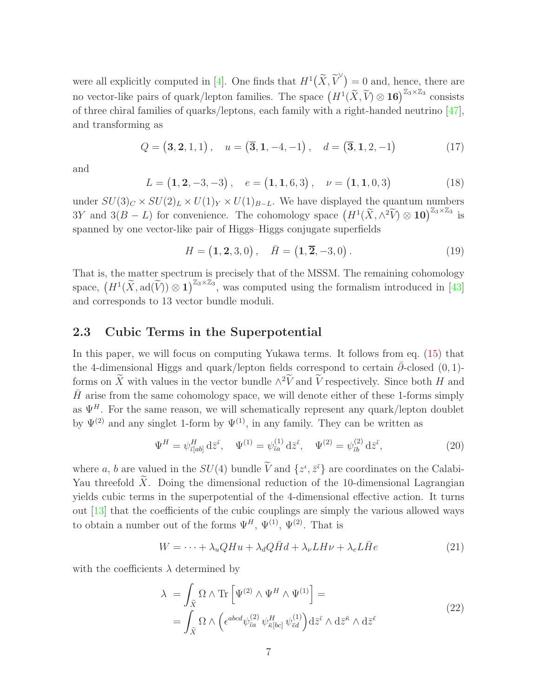<span id="page-8-2"></span>were all explicitly computed in [\[4\]](#page-19-4). One finds that  $H^1(\widetilde{X}, \widetilde{V}^{\vee}) = 0$  and, hence, there are no vector-like pairs of quark/lepton families. The space  $(H^1(\tilde{X}, \tilde{V}) \otimes 16)^{\mathbb{Z}_3 \times \mathbb{Z}_3}$  consists of three chiral families of quarks/leptons, each family with a right-handed neutrino [\[47](#page-22-12)], and transforming as

$$
Q = (3, 2, 1, 1), \quad u = (\overline{3}, 1, -4, -1), \quad d = (\overline{3}, 1, 2, -1) \tag{17}
$$

<span id="page-8-3"></span>and

$$
L = (1, 2, -3, -3), \quad e = (1, 1, 6, 3), \quad \nu = (1, 1, 0, 3)
$$
 (18)

under  $SU(3)_C \times SU(2)_L \times U(1)_Y \times U(1)_{B-L}$ . We have displayed the quantum numbers 3Y and  $3(B - L)$  for convenience. The cohomology space  $(H^1(\tilde{X}, \wedge^2 \tilde{V}) \otimes 10)^{\mathbb{Z}_3 \times \mathbb{Z}_3}$  is spanned by one vector-like pair of Higgs–Higgs conjugate superfields

<span id="page-8-4"></span>
$$
H = (1, 2, 3, 0), \quad \bar{H} = (1, \overline{2}, -3, 0).
$$
 (19)

That is, the matter spectrum is precisely that of the MSSM. The remaining cohomology space,  $(H^1(\widetilde{X}, \text{ad}(\widetilde{V})) \otimes 1)^{\mathbb{Z}_3 \times \mathbb{Z}_3}$ , was computed using the formalism introduced in [\[43\]](#page-22-8) and corresponds to 13 vector bundle moduli.

#### <span id="page-8-0"></span>2.3 Cubic Terms in the Superpotential

In this paper, we will focus on computing Yukawa terms. It follows from eq. [\(15\)](#page-7-2) that the 4-dimensional Higgs and quark/lepton fields correspond to certain  $\bar{\partial}$ -closed (0, 1)forms on  $\tilde{X}$  with values in the vector bundle  $\wedge^2 V$  and  $\tilde{V}$  respectively. Since both H and  $\bar{H}$  arise from the same cohomology space, we will denote either of these 1-forms simply as  $\Psi^H$ . For the same reason, we will schematically represent any quark/lepton doublet by  $\Psi^{(2)}$  and any singlet 1-form by  $\Psi^{(1)}$ , in any family. They can be written as

<span id="page-8-5"></span>
$$
\Psi^{H} = \psi_{\bar{\iota}[ab]}^{H} d\bar{z}^{\bar{\iota}}, \quad \Psi^{(1)} = \psi_{\bar{\iota}a}^{(1)} d\bar{z}^{\bar{\iota}}, \quad \Psi^{(2)} = \psi_{\bar{\iota}b}^{(2)} d\bar{z}^{\bar{\iota}}, \tag{20}
$$

where a, b are valued in the  $SU(4)$  bundle  $\overline{V}$  and  $\{z^{\iota}, \bar{z}^{\bar{\iota}}\}$  are coordinates on the Calabi-Yau threefold  $\tilde{X}$ . Doing the dimensional reduction of the 10-dimensional Lagrangian yields cubic terms in the superpotential of the 4-dimensional effective action. It turns out [\[13](#page-20-8)] that the coefficients of the cubic couplings are simply the various allowed ways to obtain a number out of the forms  $\Psi^H$ ,  $\Psi^{(1)}$ ,  $\Psi^{(2)}$ . That is

<span id="page-8-1"></span>
$$
W = \dots + \lambda_u Q H u + \lambda_d Q \bar{H} d + \lambda_\nu L H \nu + \lambda_e L \bar{H} e \tag{21}
$$

with the coefficients  $\lambda$  determined by

$$
\lambda = \int_{\tilde{X}} \Omega \wedge \text{Tr} \left[ \Psi^{(2)} \wedge \Psi^{H} \wedge \Psi^{(1)} \right] =
$$
\n
$$
= \int_{\tilde{X}} \Omega \wedge \left( \epsilon^{abcd} \psi_{\bar{t}a}^{(2)} \psi_{\bar{\kappa}[bc]}^{H} \psi_{\bar{\epsilon}d}^{(1)} \right) d\bar{z}^{\bar{t}} \wedge d\bar{z}^{\bar{\kappa}} \wedge d\bar{z}^{\bar{\kappa}}
$$
\n(22)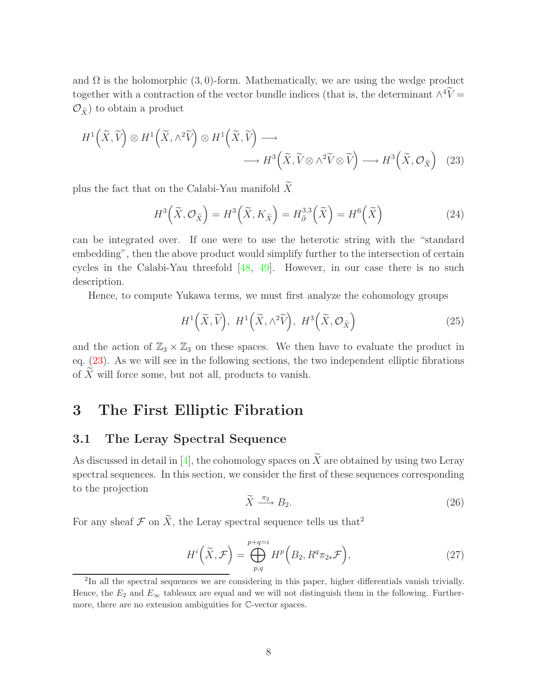and  $\Omega$  is the holomorphic (3,0)-form. Mathematically, we are using the wedge product together with a contraction of the vector bundle indices (that is, the determinant  $\wedge^4 V =$  $\mathcal{O}_{\widetilde{X}}$  to obtain a product

$$
H^{1}\left(\widetilde{X},\widetilde{V}\right)\otimes H^{1}\left(\widetilde{X},\wedge^{2}\widetilde{V}\right)\otimes H^{1}\left(\widetilde{X},\widetilde{V}\right)\longrightarrow H^{3}\left(\widetilde{X},\widetilde{V}\otimes\wedge^{2}\widetilde{V}\otimes\widetilde{V}\right)\longrightarrow H^{3}\left(\widetilde{X},\mathcal{O}_{\widetilde{X}}\right)
$$
(23)

plus the fact that on the Calabi-Yau manifold  $\widetilde{X}$ 

<span id="page-9-5"></span><span id="page-9-2"></span>
$$
H^3\left(\tilde{X}, \mathcal{O}_{\tilde{X}}\right) = H^3\left(\tilde{X}, K_{\tilde{X}}\right) = H_{\bar{\partial}}^{3,3}\left(\tilde{X}\right) = H^6\left(\tilde{X}\right)
$$
\n(24)

can be integrated over. If one were to use the heterotic string with the "standard embedding", then the above product would simplify further to the intersection of certain cycles in the Calabi-Yau threefold [\[48,](#page-22-13) [49](#page-22-14)]. However, in our case there is no such description.

Hence, to compute Yukawa terms, we must first analyze the cohomology groups

<span id="page-9-4"></span>
$$
H^{1}\left(\widetilde{X},\widetilde{V}\right), H^{1}\left(\widetilde{X},\wedge^{2}\widetilde{V}\right), H^{3}\left(\widetilde{X},\mathcal{O}_{\widetilde{X}}\right)
$$
\n(25)

and the action of  $\mathbb{Z}_3 \times \mathbb{Z}_3$  on these spaces. We then have to evaluate the product in eq. [\(23\)](#page-9-2). As we will see in the following sections, the two independent elliptic fibrations of  $\widetilde{X}$  will force some, but not all, products to vanish.

## <span id="page-9-1"></span><span id="page-9-0"></span>3 The First Elliptic Fibration

#### 3.1 The Leray Spectral Sequence

As discussed in detail in [\[4\]](#page-19-4), the cohomology spaces on  $\widetilde{X}$  are obtained by using two Leray spectral sequences. In this section, we consider the first of these sequences corresponding to the projection

<span id="page-9-3"></span>
$$
\widetilde{X} \xrightarrow{\pi_2} B_2. \tag{26}
$$

For any sheaf  $\mathcal F$  on  $\widetilde X$ , the Leray spectral sequence tells us that<sup>2</sup>

$$
H^{i}\left(\widetilde{X},\mathcal{F}\right) = \bigoplus_{p,q}^{p+q=i} H^{p}\left(B_{2}, R^{q}\pi_{2*}\mathcal{F}\right),\tag{27}
$$

<sup>2</sup> In all the spectral sequences we are considering in this paper, higher differentials vanish trivially. Hence, the  $E_2$  and  $E_{\infty}$  tableaux are equal and we will not distinguish them in the following. Furthermore, there are no extension ambiguities for C-vector spaces.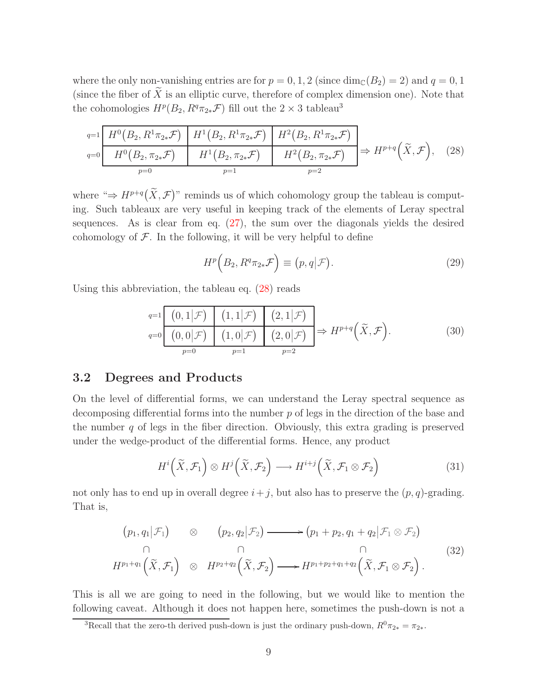where the only non-vanishing entries are for  $p = 0, 1, 2$  (since  $\dim_{\mathbb{C}}(B_2) = 2$ ) and  $q = 0, 1$ (since the fiber of  $\tilde{X}$  is an elliptic curve, therefore of complex dimension one). Note that the cohomologies  $H^p(B_2, R^q\pi_{2*}\mathcal{F})$  fill out the  $2 \times 3$  tableau<sup>3</sup>

|  |       | $q=1 \left  H^0(B_2, R^1\pi_{2*}\mathcal{F}) \right  H^1(B_2, R^1\pi_{2*}\mathcal{F}) \left  H^2(B_2, R^1\pi_{2*}\mathcal{F}) \right $                                      |  |
|--|-------|-----------------------------------------------------------------------------------------------------------------------------------------------------------------------------|--|
|  |       | $q=0$ $H^0(B_2, \overline{\pi_{2*} \mathcal{F}})$ $H^1(B_2, \pi_{2*} \mathcal{F})$ $H^2(B_2, \pi_{2*} \mathcal{F})$ $\Rightarrow H^{p+q}(\widetilde{X}, \mathcal{F}),$ (28) |  |
|  | $p=1$ | $n=2$                                                                                                                                                                       |  |

where " $\Rightarrow H^{p+q}(\tilde{X}, \mathcal{F})$ " reminds us of which cohomology group the tableau is computing. Such tableaux are very useful in keeping track of the elements of Leray spectral sequences. As is clear from eq. [\(27\)](#page-9-3), the sum over the diagonals yields the desired cohomology of  $\mathcal F$ . In the following, it will be very helpful to define

<span id="page-10-1"></span>
$$
H^p\left(B_2, R^q \pi_{2*} \mathcal{F}\right) \equiv (p, q | \mathcal{F}). \tag{29}
$$

Using this abbreviation, the tableau eq. [\(28\)](#page-10-1) reads

$$
q=1 \n\begin{array}{c|c|c|c}\n(0,1|\mathcal{F}) & (1,1|\mathcal{F}) & (2,1|\mathcal{F}) \\
\hline\n(q=0 \n\end{array}\n\quad\n\begin{array}{c|c|c}\n(0,0|\mathcal{F}) & (1,0|\mathcal{F}) & (2,0|\mathcal{F}) \\
\hline\np=0 & p=1 & p=2\n\end{array}\n\Rightarrow H^{p+q}(\widetilde{X},\mathcal{F}).\n\tag{30}
$$

#### <span id="page-10-0"></span>3.2 Degrees and Products

On the level of differential forms, we can understand the Leray spectral sequence as decomposing differential forms into the number p of legs in the direction of the base and the number  $q$  of legs in the fiber direction. Obviously, this extra grading is preserved under the wedge-product of the differential forms. Hence, any product

$$
H^i\left(\widetilde{X}, \mathcal{F}_1\right) \otimes H^j\left(\widetilde{X}, \mathcal{F}_2\right) \longrightarrow H^{i+j}\left(\widetilde{X}, \mathcal{F}_1 \otimes \mathcal{F}_2\right) \tag{31}
$$

<span id="page-10-2"></span>not only has to end up in overall degree  $i+j$ , but also has to preserve the  $(p, q)$ -grading. That is,

$$
(p_1, q_1 | \mathcal{F}_1) \otimes (p_2, q_2 | \mathcal{F}_2) \longrightarrow (p_1 + p_2, q_1 + q_2 | \mathcal{F}_1 \otimes \mathcal{F}_2)
$$
  
\n
$$
\cap \qquad \cap \qquad \cap
$$
  
\n
$$
H^{p_1 + q_1}(\widetilde{X}, \mathcal{F}_1) \otimes H^{p_2 + q_2}(\widetilde{X}, \mathcal{F}_2) \longrightarrow H^{p_1 + p_2 + q_1 + q_2}(\widetilde{X}, \mathcal{F}_1 \otimes \mathcal{F}_2).
$$
\n(32)

This is all we are going to need in the following, but we would like to mention the following caveat. Although it does not happen here, sometimes the push-down is not a

<sup>&</sup>lt;sup>3</sup>Recall that the zero-th derived push-down is just the ordinary push-down,  $R^0\pi_{2*} = \pi_{2*}$ .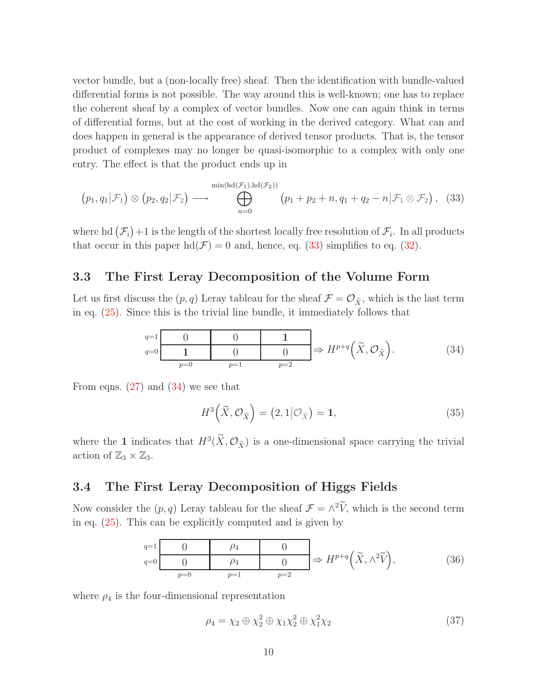vector bundle, but a (non-locally free) sheaf. Then the identification with bundle-valued differential forms is not possible. The way around this is well-known; one has to replace the coherent sheaf by a complex of vector bundles. Now one can again think in terms of differential forms, but at the cost of working in the derived category. What can and does happen in general is the appearance of derived tensor products. That is, the tensor product of complexes may no longer be quasi-isomorphic to a complex with only one entry. The effect is that the product ends up in

<span id="page-11-2"></span>
$$
(p_1, q_1 | \mathcal{F}_1) \otimes (p_2, q_2 | \mathcal{F}_2) \longrightarrow \bigoplus_{n=0}^{\min(\text{hd}(\mathcal{F}_1), \text{hd}(\mathcal{F}_2))} (p_1 + p_2 + n, q_1 + q_2 - n | \mathcal{F}_1 \otimes \mathcal{F}_2), \quad (33)
$$

where hd  $(\mathcal{F}_i)$  +1 is the length of the shortest locally free resolution of  $\mathcal{F}_i$ . In all products that occur in this paper  $\text{hd}(\mathcal{F}) = 0$  and, hence, eq. [\(33\)](#page-11-2) simplifies to eq. [\(32\)](#page-10-2).

#### <span id="page-11-0"></span>3.3 The First Leray Decomposition of the Volume Form

Let us first discuss the  $(p, q)$  Leray tableau for the sheaf  $\mathcal{F} = \mathcal{O}_{\tilde{X}}$ , which is the last term in eq. [\(25\)](#page-9-4). Since this is the trivial line bundle, it immediately follows that

$$
\begin{array}{c}\n q=1 \hspace{1cm} 0 & 0 & 1 \\
 \hline\n q=0 & 1 & 0 & 0\n \end{array}\n \Rightarrow H^{p+q}\left(\widetilde{X}, \mathcal{O}_{\widetilde{X}}\right).\n \tag{34}
$$

From eqns.  $(27)$  and  $(34)$  we see that

<span id="page-11-5"></span><span id="page-11-4"></span><span id="page-11-3"></span>
$$
H^3\left(\tilde{X}, \mathcal{O}_{\tilde{X}}\right) = \left(2, 1 | \mathcal{O}_{\tilde{X}}\right) = 1,\tag{35}
$$

where the 1 indicates that  $H^3(X, \mathcal{O}_{\tilde{X}})$  is a one-dimensional space carrying the trivial action of  $\mathbb{Z}_3 \times \mathbb{Z}_3$ .

#### <span id="page-11-1"></span>3.4 The First Leray Decomposition of Higgs Fields

Now consider the  $(p, q)$  Leray tableau for the sheaf  $\mathcal{F} = \wedge^2 V$ , which is the second term in eq. [\(25\)](#page-9-4). This can be explicitly computed and is given by

$$
\begin{array}{c|c}\n q=1 & 0 & \rho_4 & 0 \\
 \hline\n 0 & \rho_4 & 0 & \Rightarrow H^{p+q} \left( \widetilde{X}, \wedge^2 \widetilde{V} \right), \\
 p=0 & p=1 & p=2\n \end{array}\n \tag{36}
$$

where  $\rho_4$  is the four-dimensional representation

<span id="page-11-6"></span>
$$
\rho_4 = \chi_2 \oplus \chi_2^2 \oplus \chi_1 \chi_2^2 \oplus \chi_1^2 \chi_2 \tag{37}
$$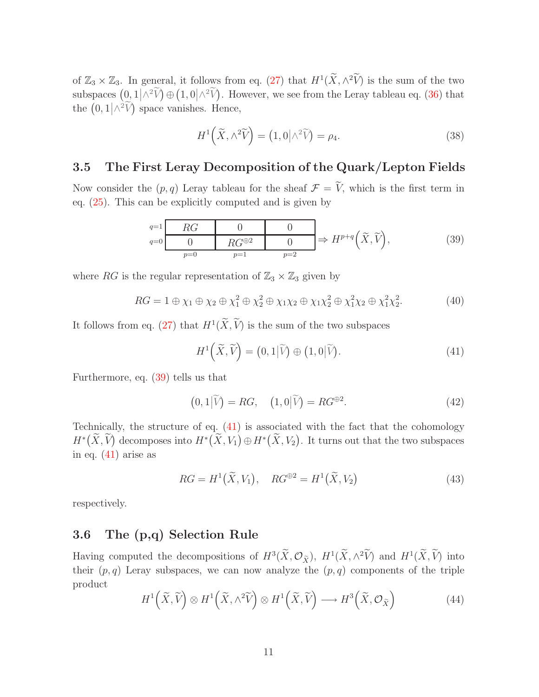of  $\mathbb{Z}_3 \times \mathbb{Z}_3$ . In general, it follows from eq. [\(27\)](#page-9-3) that  $H^1(\widetilde{X}, \wedge^2 \widetilde{V})$  is the sum of the two subspaces  $(0,1/\wedge^2 \widetilde{V}) \oplus (1,0/\wedge^2 \widetilde{V})$ . However, we see from the Leray tableau eq. [\(36\)](#page-11-4) that the  $(0,1/\wedge^2 \widetilde{V})$  space vanishes. Hence,

<span id="page-12-4"></span><span id="page-12-2"></span>
$$
H^{1}\left(\widetilde{X},\wedge^{2}\widetilde{V}\right) = \left(1,0\big|\wedge^{2}\widetilde{V}\right) = \rho_{4}.\tag{38}
$$

## <span id="page-12-0"></span>3.5 The First Leray Decomposition of the Quark/Lepton Fields

Now consider the  $(p, q)$  Leray tableau for the sheaf  $\mathcal{F} = \tilde{V}$ , which is the first term in eq. [\(25\)](#page-9-4). This can be explicitly computed and is given by

$$
\begin{array}{c|c}\n q=1 & RG & 0 & 0 \\
\hline\n0 & RG^{\oplus 2} & 0 & \Rightarrow H^{p+q}(\widetilde{X}, \widetilde{V}), \\
 p=0 & p=1 & p=2\n\end{array} \tag{39}
$$

where RG is the regular representation of  $\mathbb{Z}_3 \times \mathbb{Z}_3$  given by

$$
RG = 1 \oplus \chi_1 \oplus \chi_2 \oplus \chi_1^2 \oplus \chi_2^2 \oplus \chi_1 \chi_2 \oplus \chi_1 \chi_2^2 \oplus \chi_1^2 \chi_2 \oplus \chi_1^2 \chi_2^2. \tag{40}
$$

It follows from eq. [\(27\)](#page-9-3) that  $H^1(X, V)$  is the sum of the two subspaces

<span id="page-12-7"></span><span id="page-12-6"></span><span id="page-12-3"></span>
$$
H^{1}\left(\widetilde{X},\widetilde{V}\right) = \left(0,1\big|\widetilde{V}\right) \oplus \left(1,0\big|\widetilde{V}\right). \tag{41}
$$

Furthermore, eq. [\(39\)](#page-12-2) tells us that

$$
(0,1|\tilde{V}) = RG, \quad (1,0|\tilde{V}) = RG^{\oplus 2}.
$$
 (42)

Technically, the structure of eq. [\(41\)](#page-12-3) is associated with the fact that the cohomology  $H^*(\widetilde{X}, \widetilde{V})$  decomposes into  $H^*(\widetilde{X}, V_1) \oplus H^*(\widetilde{X}, V_2)$ . It turns out that the two subspaces in eq.  $(41)$  arise as

$$
RG = H1(\widetilde{X}, V_1), \quad RG^{\oplus 2} = H1(\widetilde{X}, V_2)
$$
\n(43)

<span id="page-12-1"></span>respectively.

## 3.6 The (p,q) Selection Rule

<span id="page-12-5"></span>Having computed the decompositions of  $H^3(X, \mathcal{O}_{\tilde{X}}), H^1(X, \wedge^2 V)$  and  $H^1(X, V)$  into their  $(p, q)$  Leray subspaces, we can now analyze the  $(p, q)$  components of the triple product

$$
H^{1}\left(\widetilde{X},\widetilde{V}\right)\otimes H^{1}\left(\widetilde{X},\wedge^{2}\widetilde{V}\right)\otimes H^{1}\left(\widetilde{X},\widetilde{V}\right)\longrightarrow H^{3}\left(\widetilde{X},\mathcal{O}_{\widetilde{X}}\right)
$$
(44)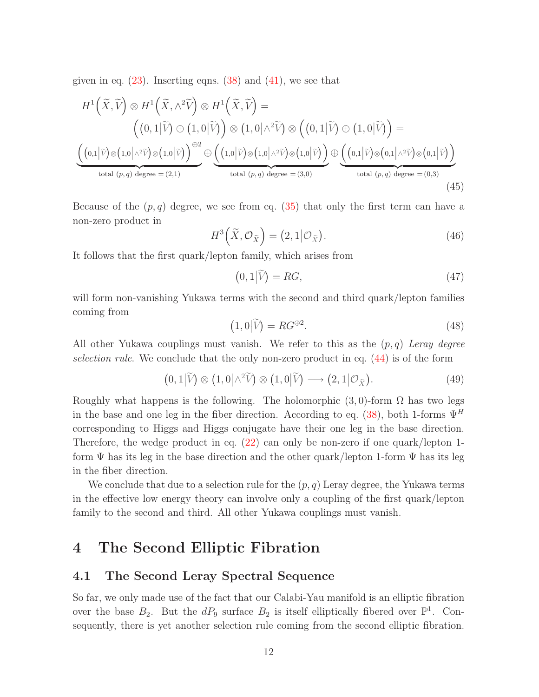given in eq.  $(23)$ . Inserting eqns.  $(38)$  and  $(41)$ , we see that

$$
H^{1}(\widetilde{X},\widetilde{V})\otimes H^{1}(\widetilde{X},\wedge^{2}\widetilde{V})\otimes H^{1}(\widetilde{X},\widetilde{V}) =
$$
\n
$$
\left((0,1|\widetilde{V})\oplus(1,0|\widetilde{V})\right)\otimes(1,0|\wedge^{2}\widetilde{V})\otimes((0,1|\widetilde{V})\oplus(1,0|\widetilde{V})) =
$$
\n
$$
\underbrace{\left((0,1|\widetilde{V})\otimes(1,0|\wedge^{2}\widetilde{V})\otimes(1,0|\widetilde{V})\right)^{\oplus2}}_{\text{total }(p,q) degree }=(2,1)}\oplus \underbrace{\left((1,0|\widetilde{V})\otimes(1,0|\wedge^{2}\widetilde{V})\otimes(1,0|\widetilde{V})\right)}_{\text{total }(p,q) degree }=(3,0)}\oplus \underbrace{\left((0,1|\widetilde{V})\otimes(0,1|\wedge^{2}\widetilde{V})\otimes(0,1|\widetilde{V})\right)}_{\text{total }(p,q) degree }=(0,3)}
$$
\n
$$
(45)
$$

Because of the  $(p, q)$  degree, we see from eq. [\(35\)](#page-11-5) that only the first term can have a non-zero product in

$$
H^3\left(\widetilde{X}, \mathcal{O}_{\widetilde{X}}\right) = \left(2, 1 | \mathcal{O}_{\widetilde{X}}\right). \tag{46}
$$

It follows that the first quark/lepton family, which arises from

$$
(0,1|\widetilde{V}) = RG,\t(47)
$$

will form non-vanishing Yukawa terms with the second and third quark/lepton families coming from

<span id="page-13-2"></span>
$$
(1,0|\tilde{V}) = RG^{\oplus 2}.
$$
\n(48)

All other Yukawa couplings must vanish. We refer to this as the (p, q) *Leray degree selection rule*. We conclude that the only non-zero product in eq. [\(44\)](#page-12-5) is of the form

$$
(0,1|\widetilde{V}) \otimes (1,0|\wedge^2 \widetilde{V}) \otimes (1,0|\widetilde{V}) \longrightarrow (2,1|\mathcal{O}_{\widetilde{X}}). \tag{49}
$$

Roughly what happens is the following. The holomorphic  $(3,0)$ -form  $\Omega$  has two legs in the base and one leg in the fiber direction. According to eq. [\(38\)](#page-12-4), both 1-forms  $\Psi^H$ corresponding to Higgs and Higgs conjugate have their one leg in the base direction. Therefore, the wedge product in eq. [\(22\)](#page-8-1) can only be non-zero if one quark/lepton 1 form  $\Psi$  has its leg in the base direction and the other quark/lepton 1-form  $\Psi$  has its leg in the fiber direction.

We conclude that due to a selection rule for the  $(p, q)$  Leray degree, the Yukawa terms in the effective low energy theory can involve only a coupling of the first quark/lepton family to the second and third. All other Yukawa couplings must vanish.

# <span id="page-13-1"></span><span id="page-13-0"></span>4 The Second Elliptic Fibration

#### 4.1 The Second Leray Spectral Sequence

So far, we only made use of the fact that our Calabi-Yau manifold is an elliptic fibration over the base  $B_2$ . But the  $dP_9$  surface  $B_2$  is itself elliptically fibered over  $\mathbb{P}^1$ . Consequently, there is yet another selection rule coming from the second elliptic fibration.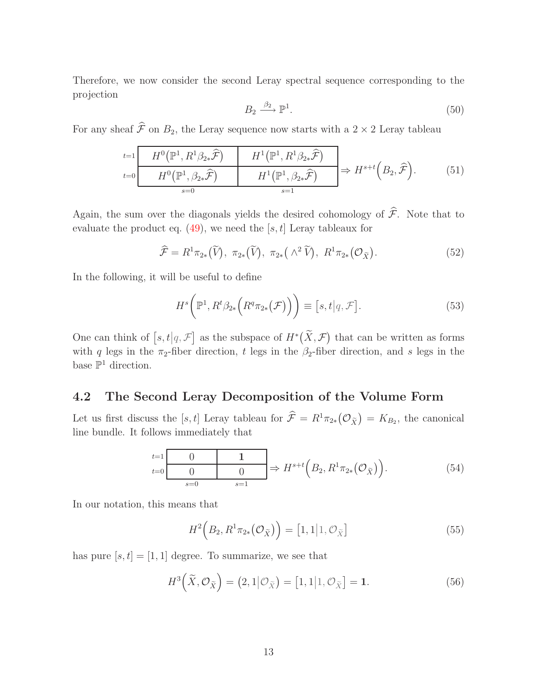Therefore, we now consider the second Leray spectral sequence corresponding to the projection

$$
B_2 \xrightarrow{\beta_2} \mathbb{P}^1. \tag{50}
$$

For any sheaf  $\hat{\mathcal{F}}$  on  $B_2$ , the Leray sequence now starts with a 2 × 2 Leray tableau

$$
\begin{array}{ccc}\n t=1 & H^{0}(\mathbb{P}^{1}, R^{1}\beta_{2*}\hat{\mathcal{F}}) & H^{1}(\mathbb{P}^{1}, R^{1}\beta_{2*}\hat{\mathcal{F}}) \\
 H^{0}(\mathbb{P}^{1}, \beta_{2*}\hat{\mathcal{F}}) & H^{1}(\mathbb{P}^{1}, \beta_{2*}\hat{\mathcal{F}}) & H^{s+t}(B_{2}, \hat{\mathcal{F}}).\n\end{array}
$$
\n
$$
(51)
$$

Again, the sum over the diagonals yields the desired cohomology of  $\hat{\mathcal{F}}$ . Note that to evaluate the product eq.  $(49)$ , we need the [s, t] Leray tableaux for

$$
\widehat{\mathcal{F}} = R^1 \pi_{2*}(\widetilde{V}), \ \pi_{2*}(\widetilde{V}), \ \pi_{2*}(\wedge^2 \widetilde{V}), \ R^1 \pi_{2*}(\mathcal{O}_{\widetilde{X}}).
$$
\n
$$
(52)
$$

In the following, it will be useful to define

$$
H^s\big(\mathbb{P}^1, R^t\beta_{2*}\big(R^q\pi_{2*}\big(\mathcal{F}\big)\big)\bigg) \equiv [s, t|q, \mathcal{F}]. \tag{53}
$$

One can think of  $[s, t | q, \mathcal{F}]$  as the subspace of  $H^*(\widetilde{X}, \mathcal{F})$  that can be written as forms with q legs in the  $\pi_2$ -fiber direction, t legs in the  $\beta_2$ -fiber direction, and s legs in the base  $\mathbb{P}^1$  direction.

#### <span id="page-14-0"></span>4.2 The Second Leray Decomposition of the Volume Form

Let us first discuss the [s, t] Leray tableau for  $\hat{\mathcal{F}} = R^1 \pi_{2*}(\mathcal{O}_{\tilde{X}}) = K_{B_2}$ , the canonical line bundle. It follows immediately that

$$
\begin{array}{ccc}\nt=1 & 0 & 1 \\
\hline\n0 & 0 & 0 \\
\hline\ns=0 & s=1\n\end{array}\n\Rightarrow H^{s+t}\left(B_2, R^1\pi_{2*}\left(\mathcal{O}_{\tilde{X}}\right)\right).
$$
\n(54)

In our notation, this means that

<span id="page-14-1"></span>
$$
H^2\left(B_2, R^1\pi_{2*}\left(\mathcal{O}_{\widetilde{X}}\right)\right) = \left[1, 1|1, \mathcal{O}_{\widetilde{X}}\right]
$$
\n
$$
(55)
$$

has pure  $[s, t] = [1, 1]$  degree. To summarize, we see that

$$
H^3\left(\tilde{X}, \mathcal{O}_{\tilde{X}}\right) = \left(2, 1 | \mathcal{O}_{\tilde{X}}\right) = \left[1, 1 | 1, \mathcal{O}_{\tilde{X}}\right] = 1. \tag{56}
$$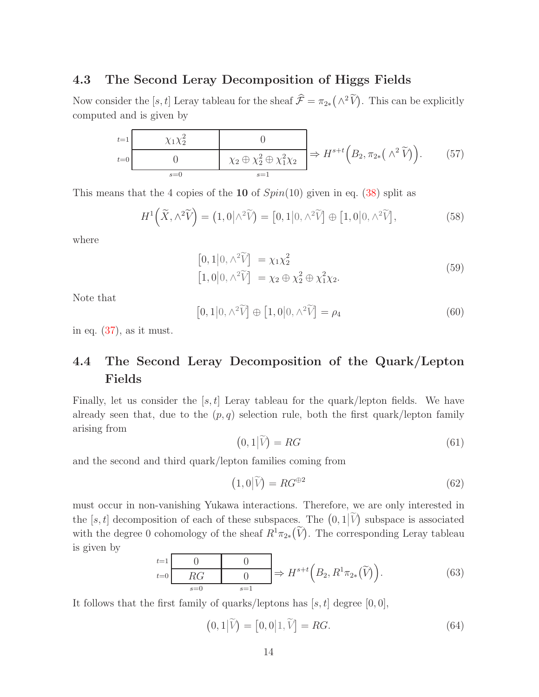#### <span id="page-15-0"></span>4.3 The Second Leray Decomposition of Higgs Fields

Now consider the [s, t] Leray tableau for the sheaf  $\hat{\mathcal{F}} = \pi_{2*}(\Lambda^2 \tilde{V})$ . This can be explicitly computed and is given by

| $t=1$ |       |                                                                                                                                 |  |
|-------|-------|---------------------------------------------------------------------------------------------------------------------------------|--|
| $t=0$ |       | $ \chi_2 \oplus \overline{\chi_2^2 \oplus \chi_1^2 \chi_2} \rangle \Rightarrow H^{s+t}(B_2, \pi_{2*}(\wedge^2 \widetilde{V})).$ |  |
|       | $s=0$ |                                                                                                                                 |  |

This means that the 4 copies of the 10 of  $Spin(10)$  given in eq. [\(38\)](#page-12-4) split as

$$
H^{1}\left(\widetilde{X},\wedge^{2}\widetilde{V}\right) = \left(1,0\big|\wedge^{2}\widetilde{V}\right) = \left[0,1\big|0,\wedge^{2}\widetilde{V}\right] \oplus \left[1,0\big|0,\wedge^{2}\widetilde{V}\right],\tag{58}
$$

<span id="page-15-2"></span>where

<span id="page-15-4"></span>
$$
[0,1|0,\wedge^2 \widetilde{V}] = \chi_1 \chi_2^2
$$
  
\n
$$
[1,0|0,\wedge^2 \widetilde{V}] = \chi_2 \oplus \chi_2^2 \oplus \chi_1^2 \chi_2.
$$
\n
$$
(59)
$$

Note that

$$
[0,1|0,\wedge^2 \widetilde{V}] \oplus [1,0|0,\wedge^2 \widetilde{V}] = \rho_4
$$
\n(60)

<span id="page-15-1"></span>in eq.  $(37)$ , as it must.

## 4.4 The Second Leray Decomposition of the Quark/Lepton Fields

Finally, let us consider the  $[s, t]$  Leray tableau for the quark/lepton fields. We have already seen that, due to the  $(p, q)$  selection rule, both the first quark/lepton family arising from

$$
(0,1|\widetilde{V}) = RG \tag{61}
$$

and the second and third quark/lepton families coming from

$$
(1,0|\tilde{V}) = RG^{\oplus 2}
$$
\n(62)

must occur in non-vanishing Yukawa interactions. Therefore, we are only interested in the [s, t] decomposition of each of these subspaces. The  $(0,1|\tilde{V})$  subspace is associated with the degree 0 cohomology of the sheaf  $R^1\pi_{2*}(\widetilde{V})$ . The corresponding Leray tableau is given by

$$
\begin{array}{ccc}\nt=1 & 0 & 0 \\
\hline\nRG & 0 & \Rightarrow H^{s+t}\left(B_2, R^1\pi_{2*}(\widetilde{V})\right).\n\end{array} \tag{63}
$$

It follows that the first family of quarks/leptons has  $[s, t]$  degree  $[0, 0]$ ,

<span id="page-15-3"></span>
$$
(0,1|\widetilde{V}) = [0,0|1,\widetilde{V}] = RG.
$$
\n(64)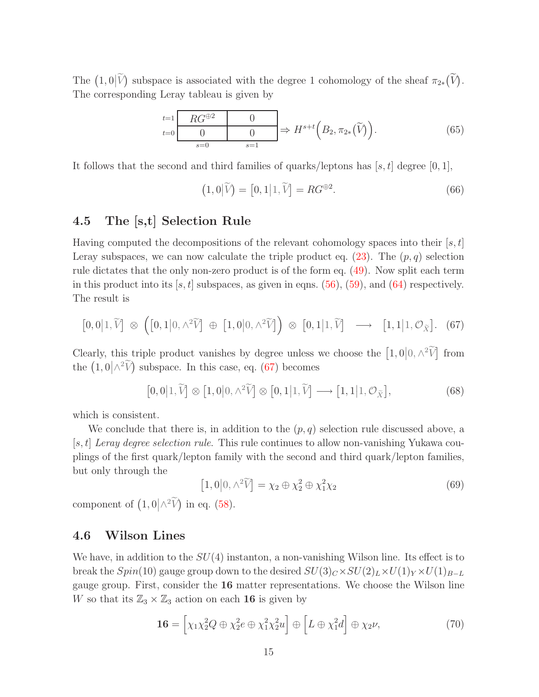The  $(1,0|\tilde{V})$  subspace is associated with the degree 1 cohomology of the sheaf  $\pi_{2*}(\tilde{V})$ . The corresponding Leray tableau is given by

$$
\begin{array}{ccc}\nt=1 & RG^{\oplus 2} & 0 \\
\hline\n0 & 0 & 0 \\
\hline\ns=0 & s=1\n\end{array}\n\Rightarrow H^{s+t}\left(B_2, \pi_{2*}(\widetilde{V})\right).
$$
\n(65)

It follows that the second and third families of quarks/leptons has  $[s, t]$  degree [0, 1],

<span id="page-16-2"></span>
$$
(1,0|\widetilde{V}) = [0,1|1,\widetilde{V}] = RG^{\oplus 2}.
$$
\n(66)

### <span id="page-16-0"></span>4.5 The [s,t] Selection Rule

Having computed the decompositions of the relevant cohomology spaces into their  $[s, t]$ Leray subspaces, we can now calculate the triple product eq.  $(23)$ . The  $(p, q)$  selection rule dictates that the only non-zero product is of the form eq. [\(49\)](#page-13-2). Now split each term in this product into its  $[s, t]$  subspaces, as given in eqns. [\(56\)](#page-14-1), [\(59\)](#page-15-2), and [\(64\)](#page-15-3) respectively. The result is

$$
[0,0]1,\widetilde{V}] \otimes ([0,1]0,\wedge^2 \widetilde{V}] \oplus [1,0]0,\wedge^2 \widetilde{V}] \otimes [0,1]1,\widetilde{V}] \longrightarrow [1,1]1,\mathcal{O}_{\widetilde{X}}]. (67)
$$

Clearly, this triple product vanishes by degree unless we choose the  $[1,0]0, \wedge^2 \widetilde{V}$  from the  $(1,0|\wedge^2 \widetilde{V})$  subspace. In this case, eq. [\(67\)](#page-16-2) becomes

<span id="page-16-4"></span>
$$
[0,0|1,\widetilde{V}] \otimes [1,0|0,\wedge^2 \widetilde{V}] \otimes [0,1|1,\widetilde{V}] \longrightarrow [1,1|1,\mathcal{O}_{\widetilde{X}}],
$$
\n(68)

which is consistent.

We conclude that there is, in addition to the  $(p, q)$  selection rule discussed above, a [s, t] *Leray degree selection rule*. This rule continues to allow non-vanishing Yukawa couplings of the first quark/lepton family with the second and third quark/lepton families, but only through the

$$
[1,0|0,\wedge^2 \widetilde{V}] = \chi_2 \oplus \chi_2^2 \oplus \chi_1^2 \chi_2 \tag{69}
$$

component of  $(1,0/\wedge^2 \widetilde{V})$  in eq. [\(58\)](#page-15-4).

#### <span id="page-16-1"></span>4.6 Wilson Lines

We have, in addition to the  $SU(4)$  instanton, a non-vanishing Wilson line. Its effect is to break the  $Spin(10)$  gauge group down to the desired  $SU(3)_C \times SU(2)_L \times U(1)_Y \times U(1)_{B-L}$ gauge group. First, consider the 16 matter representations. We choose the Wilson line W so that its  $\mathbb{Z}_3 \times \mathbb{Z}_3$  action on each **16** is given by

<span id="page-16-3"></span>
$$
\mathbf{16} = \left[ \chi_1 \chi_2^2 Q \oplus \chi_2^2 e \oplus \chi_1^2 \chi_2^2 u \right] \oplus \left[ L \oplus \chi_1^2 d \right] \oplus \chi_2 \nu, \tag{70}
$$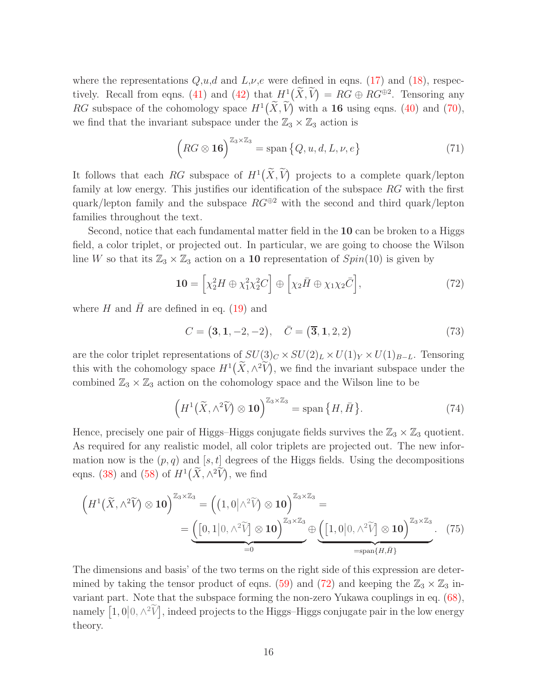where the representations  $Q, u, d$  and  $L, \nu, e$  were defined in eqns. [\(17\)](#page-8-2) and [\(18\)](#page-8-3), respec-tively. Recall from eqns. [\(41\)](#page-12-3) and [\(42\)](#page-12-6) that  $H^1(\tilde{X}, \tilde{V}) = RG \oplus RG^{\oplus 2}$ . Tensoring any RG subspace of the cohomology space  $H^1(\tilde{X}, \tilde{V})$  with a **16** using eqns. [\(40\)](#page-12-7) and [\(70\)](#page-16-3), we find that the invariant subspace under the  $\mathbb{Z}_3 \times \mathbb{Z}_3$  action is

$$
\left(RG\otimes \mathbf{16}\right)^{\mathbb{Z}_3\times\mathbb{Z}_3} = \text{span}\left\{Q, u, d, L, \nu, e\right\} \tag{71}
$$

It follows that each RG subspace of  $H^1(\widetilde{X}, \widetilde{V})$  projects to a complete quark/lepton family at low energy. This justifies our identification of the subspace RG with the first quark/lepton family and the subspace  $RG^{\oplus 2}$  with the second and third quark/lepton families throughout the text.

Second, notice that each fundamental matter field in the 10 can be broken to a Higgs field, a color triplet, or projected out. In particular, we are going to choose the Wilson line W so that its  $\mathbb{Z}_3 \times \mathbb{Z}_3$  action on a 10 representation of  $Spin(10)$  is given by

<span id="page-17-0"></span>
$$
\mathbf{10} = \left[ \chi_2^2 H \oplus \chi_1^2 \chi_2^2 C \right] \oplus \left[ \chi_2 \bar{H} \oplus \chi_1 \chi_2 \bar{C} \right],\tag{72}
$$

where H and  $\bar{H}$  are defined in eq. [\(19\)](#page-8-4) and

$$
C = (3, 1, -2, -2), \quad \bar{C} = (\overline{3}, 1, 2, 2)
$$
\n(73)

are the color triplet representations of  $SU(3)_C \times SU(2)_L \times U(1)_Y \times U(1)_{B-L}$ . Tensoring this with the cohomology space  $H^1(\widetilde{X}, \wedge^2 \widetilde{V})$ , we find the invariant subspace under the combined  $\mathbb{Z}_3 \times \mathbb{Z}_3$  action on the cohomology space and the Wilson line to be

$$
\left(H^{1}\left(\widetilde{X},\wedge^{2}\widetilde{V}\right)\otimes\mathbf{10}\right)^{\mathbb{Z}_{3}\times\mathbb{Z}_{3}}=\mathrm{span}\left\{H,\bar{H}\right\}.
$$
\n(74)

Hence, precisely one pair of Higgs–Higgs conjugate fields survives the  $\mathbb{Z}_3 \times \mathbb{Z}_3$  quotient. As required for any realistic model, all color triplets are projected out. The new information now is the  $(p, q)$  and  $[s, t]$  degrees of the Higgs fields. Using the decompositions eqns. [\(38\)](#page-12-4) and [\(58\)](#page-15-4) of  $H^1(\widetilde{X}, \wedge^2 \widetilde{V})$ , we find

$$
\left(H^{1}(\widetilde{X},\wedge^{2}\widetilde{V})\otimes\mathbf{10}\right)^{\mathbb{Z}_{3}\times\mathbb{Z}_{3}}=\left((1,0|\wedge^{2}\widetilde{V})\otimes\mathbf{10}\right)^{\mathbb{Z}_{3}\times\mathbb{Z}_{3}}=\underline{\left((0,1|0,\wedge^{2}\widetilde{V})\otimes\mathbf{10}\right)^{\mathbb{Z}_{3}\times\mathbb{Z}_{3}}}\underline{\oplus}\underbrace{\left([1,0|0,\wedge^{2}\widetilde{V}]\otimes\mathbf{10}\right)^{\mathbb{Z}_{3}\times\mathbb{Z}_{3}}}_{=\operatorname{span}\{H,\bar{H}\}}.\quad(75)
$$

The dimensions and basis' of the two terms on the right side of this expression are deter-mined by taking the tensor product of eqns. [\(59\)](#page-15-2) and [\(72\)](#page-17-0) and keeping the  $\mathbb{Z}_3 \times \mathbb{Z}_3$  invariant part. Note that the subspace forming the non-zero Yukawa couplings in eq. [\(68\)](#page-16-4), namely  $\left[1,0\middle|0,\wedge^2\widetilde{V}\right],$  indeed projects to the Higgs–Higgs conjugate pair in the low energy theory.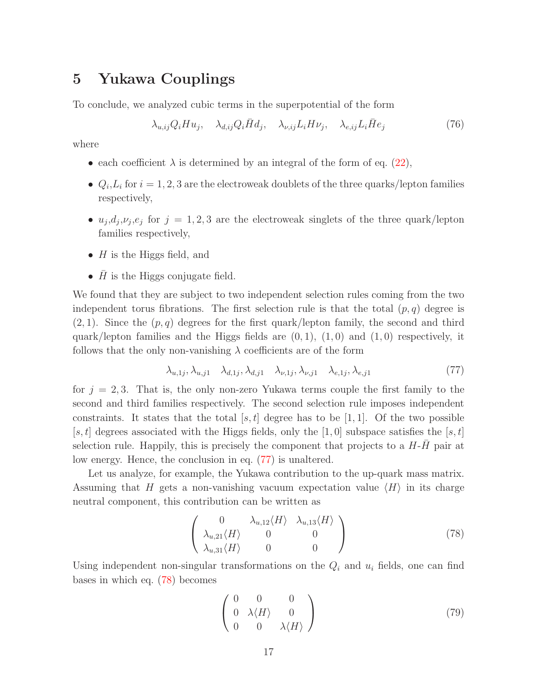# <span id="page-18-0"></span>5 Yukawa Couplings

To conclude, we analyzed cubic terms in the superpotential of the form

$$
\lambda_{u,ij} Q_i H u_j, \quad \lambda_{d,ij} Q_i \bar{H} d_j, \quad \lambda_{\nu,ij} L_i H \nu_j, \quad \lambda_{e,ij} L_i \bar{H} e_j \tag{76}
$$

where

- each coefficient  $\lambda$  is determined by an integral of the form of eq. [\(22\)](#page-8-1),
- $Q_i, L_i$  for  $i = 1, 2, 3$  are the electroweak doublets of the three quarks/lepton families respectively,
- $u_j, d_j, \nu_j, e_j$  for  $j = 1, 2, 3$  are the electroweak singlets of the three quark/lepton families respectively,
- $H$  is the Higgs field, and
- $\bar{H}$  is the Higgs conjugate field.

We found that they are subject to two independent selection rules coming from the two independent torus fibrations. The first selection rule is that the total  $(p, q)$  degree is  $(2, 1)$ . Since the  $(p, q)$  degrees for the first quark/lepton family, the second and third quark/lepton families and the Higgs fields are  $(0, 1)$ ,  $(1, 0)$  and  $(1, 0)$  respectively, it follows that the only non-vanishing  $\lambda$  coefficients are of the form

<span id="page-18-1"></span>
$$
\lambda_{u,1j}, \lambda_{u,j1} \quad \lambda_{d,1j}, \lambda_{d,j1} \quad \lambda_{\nu,1j}, \lambda_{\nu,j1} \quad \lambda_{e,1j}, \lambda_{e,j1} \tag{77}
$$

for  $j = 2, 3$ . That is, the only non-zero Yukawa terms couple the first family to the second and third families respectively. The second selection rule imposes independent constraints. It states that the total [s, t] degree has to be [1, 1]. Of the two possible [s, t] degrees associated with the Higgs fields, only the [1,0] subspace satisfies the [s, t] selection rule. Happily, this is precisely the component that projects to a  $H-H$  pair at low energy. Hence, the conclusion in eq. [\(77\)](#page-18-1) is unaltered.

Let us analyze, for example, the Yukawa contribution to the up-quark mass matrix. Assuming that H gets a non-vanishing vacuum expectation value  $\langle H \rangle$  in its charge neutral component, this contribution can be written as

<span id="page-18-2"></span>
$$
\begin{pmatrix}\n0 & \lambda_{u,12} \langle H \rangle & \lambda_{u,13} \langle H \rangle \\
\lambda_{u,21} \langle H \rangle & 0 & 0 \\
\lambda_{u,31} \langle H \rangle & 0 & 0\n\end{pmatrix}
$$
\n(78)

Using independent non-singular transformations on the  $Q_i$  and  $u_i$  fields, one can find bases in which eq. [\(78\)](#page-18-2) becomes

$$
\left(\begin{array}{ccc}\n0 & 0 & 0 \\
0 & \lambda \langle H \rangle & 0 \\
0 & 0 & \lambda \langle H \rangle\n\end{array}\right) (79)
$$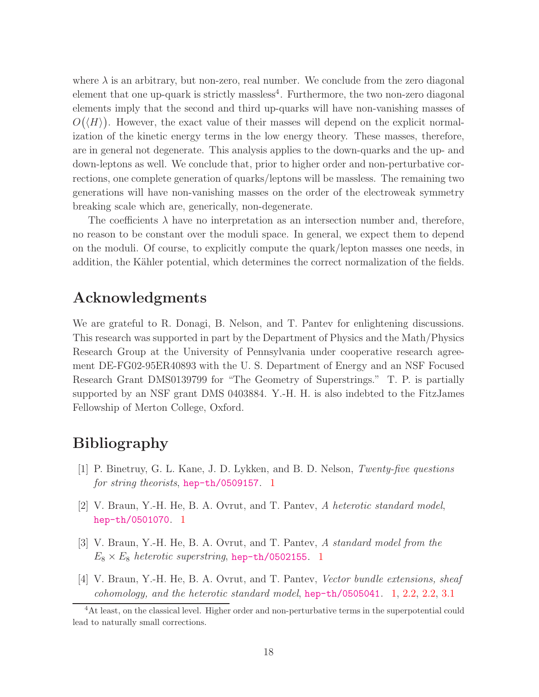where  $\lambda$  is an arbitrary, but non-zero, real number. We conclude from the zero diagonal element that one up-quark is strictly massless<sup>4</sup>. Furthermore, the two non-zero diagonal elements imply that the second and third up-quarks will have non-vanishing masses of  $O(\langle H \rangle)$ . However, the exact value of their masses will depend on the explicit normalization of the kinetic energy terms in the low energy theory. These masses, therefore, are in general not degenerate. This analysis applies to the down-quarks and the up- and down-leptons as well. We conclude that, prior to higher order and non-perturbative corrections, one complete generation of quarks/leptons will be massless. The remaining two generations will have non-vanishing masses on the order of the electroweak symmetry breaking scale which are, generically, non-degenerate.

The coefficients  $\lambda$  have no interpretation as an intersection number and, therefore, no reason to be constant over the moduli space. In general, we expect them to depend on the moduli. Of course, to explicitly compute the quark/lepton masses one needs, in addition, the Kähler potential, which determines the correct normalization of the fields.

## <span id="page-19-0"></span>Acknowledgments

We are grateful to R. Donagi, B. Nelson, and T. Pantev for enlightening discussions. This research was supported in part by the Department of Physics and the Math/Physics Research Group at the University of Pennsylvania under cooperative research agreement DE-FG02-95ER40893 with the U. S. Department of Energy and an NSF Focused Research Grant DMS0139799 for "The Geometry of Superstrings." T. P. is partially supported by an NSF grant DMS 0403884. Y.-H. H. is also indebted to the FitzJames Fellowship of Merton College, Oxford.

# <span id="page-19-1"></span>Bibliography

- [1] P. Binetruy, G. L. Kane, J. D. Lykken, and B. D. Nelson, *Twenty-five questions for string theorists*, [hep-th/0509157](http://xxx.lanl.gov/abs/hep-th/0509157). [1](#page-2-0)
- <span id="page-19-2"></span>[2] V. Braun, Y.-H. He, B. A. Ovrut, and T. Pantev, *A heterotic standard model*, [hep-th/0501070](http://xxx.lanl.gov/abs/hep-th/0501070). [1](#page-2-0)
- <span id="page-19-3"></span>[3] V. Braun, Y.-H. He, B. A. Ovrut, and T. Pantev, *A standard model from the*  $E_8 \times E_8$  *heterotic superstring*, [hep-th/0502155](http://xxx.lanl.gov/abs/hep-th/0502155). [1](#page-2-0)
- <span id="page-19-4"></span>[4] V. Braun, Y.-H. He, B. A. Ovrut, and T. Pantev, *Vector bundle extensions, sheaf cohomology, and the heterotic standard model*, [hep-th/0505041](http://xxx.lanl.gov/abs/hep-th/0505041). [1,](#page-2-0) [2.2,](#page-7-3) [2.2,](#page-7-4) [3.1](#page-9-1)

<sup>&</sup>lt;sup>4</sup>At least, on the classical level. Higher order and non-perturbative terms in the superpotential could lead to naturally small corrections.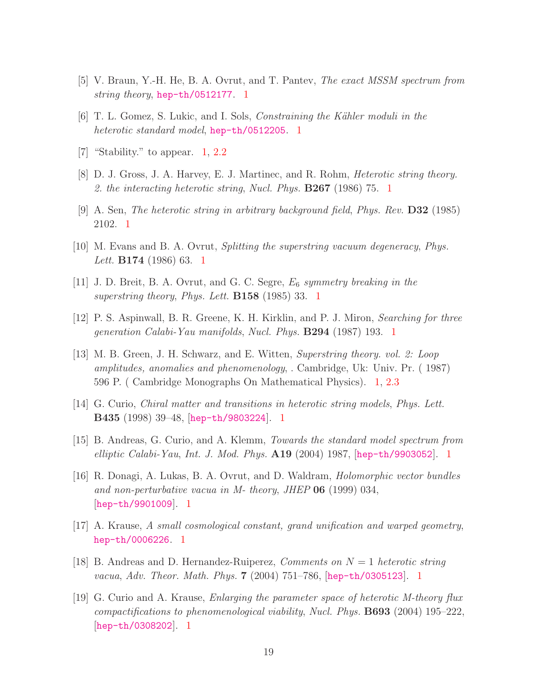- <span id="page-20-0"></span>[5] V. Braun, Y.-H. He, B. A. Ovrut, and T. Pantev, *The exact MSSM spectrum from string theory*, [hep-th/0512177](http://xxx.lanl.gov/abs/hep-th/0512177). [1](#page-2-0)
- <span id="page-20-1"></span>[6] T. L. Gomez, S. Lukic, and I. Sols, *Constraining the K¨ahler moduli in the heterotic standard model*, [hep-th/0512205](http://xxx.lanl.gov/abs/hep-th/0512205). [1](#page-2-0)
- <span id="page-20-2"></span>[7] "Stability." to appear. [1,](#page-2-0) [2.2](#page-7-3)
- <span id="page-20-3"></span>[8] D. J. Gross, J. A. Harvey, E. J. Martinec, and R. Rohm, *Heterotic string theory. 2. the interacting heterotic string*, *Nucl. Phys.* B267 (1986) 75. [1](#page-2-0)
- <span id="page-20-4"></span>[9] A. Sen, *The heterotic string in arbitrary background field*, *Phys. Rev.* D32 (1985) 2102. [1](#page-2-0)
- <span id="page-20-5"></span>[10] M. Evans and B. A. Ovrut, *Splitting the superstring vacuum degeneracy*, *Phys. Lett.* B174 (1986) 63. [1](#page-2-0)
- <span id="page-20-6"></span>[11] J. D. Breit, B. A. Ovrut, and G. C. Segre, E<sup>6</sup> *symmetry breaking in the superstring theory*, *Phys. Lett.* B158 (1985) 33. [1](#page-2-0)
- <span id="page-20-7"></span>[12] P. S. Aspinwall, B. R. Greene, K. H. Kirklin, and P. J. Miron, *Searching for three generation Calabi-Yau manifolds*, *Nucl. Phys.* B294 (1987) 193. [1](#page-2-0)
- <span id="page-20-8"></span>[13] M. B. Green, J. H. Schwarz, and E. Witten, *Superstring theory. vol. 2: Loop amplitudes, anomalies and phenomenology*, . Cambridge, Uk: Univ. Pr. ( 1987) 596 P. ( Cambridge Monographs On Mathematical Physics). [1,](#page-2-0) [2.3](#page-8-5)
- <span id="page-20-9"></span>[14] G. Curio, *Chiral matter and transitions in heterotic string models*, *Phys. Lett.* B435 (1998) 39–48, [[hep-th/9803224](http://xxx.lanl.gov/abs/hep-th/9803224)]. [1](#page-2-0)
- <span id="page-20-10"></span>[15] B. Andreas, G. Curio, and A. Klemm, *Towards the standard model spectrum from elliptic Calabi-Yau*, *Int. J. Mod. Phys.* A19 (2004) 1987, [[hep-th/9903052](http://xxx.lanl.gov/abs/hep-th/9903052)]. [1](#page-2-0)
- <span id="page-20-11"></span>[16] R. Donagi, A. Lukas, B. A. Ovrut, and D. Waldram, *Holomorphic vector bundles and non-perturbative vacua in M- theory*, *JHEP* 06 (1999) 034, [[hep-th/9901009](http://xxx.lanl.gov/abs/hep-th/9901009)]. [1](#page-2-0)
- <span id="page-20-12"></span>[17] A. Krause, *A small cosmological constant, grand unification and warped geometry*, [hep-th/0006226](http://xxx.lanl.gov/abs/hep-th/0006226). [1](#page-2-0)
- <span id="page-20-13"></span>[18] B. Andreas and D. Hernandez-Ruiperez, *Comments on* N = 1 *heterotic string vacua*, *Adv. Theor. Math. Phys.* 7 (2004) 751–786, [[hep-th/0305123](http://xxx.lanl.gov/abs/hep-th/0305123)]. [1](#page-2-0)
- <span id="page-20-14"></span>[19] G. Curio and A. Krause, *Enlarging the parameter space of heterotic M-theory flux compactifications to phenomenological viability*, *Nucl. Phys.* B693 (2004) 195–222, [[hep-th/0308202](http://xxx.lanl.gov/abs/hep-th/0308202)]. [1](#page-2-0)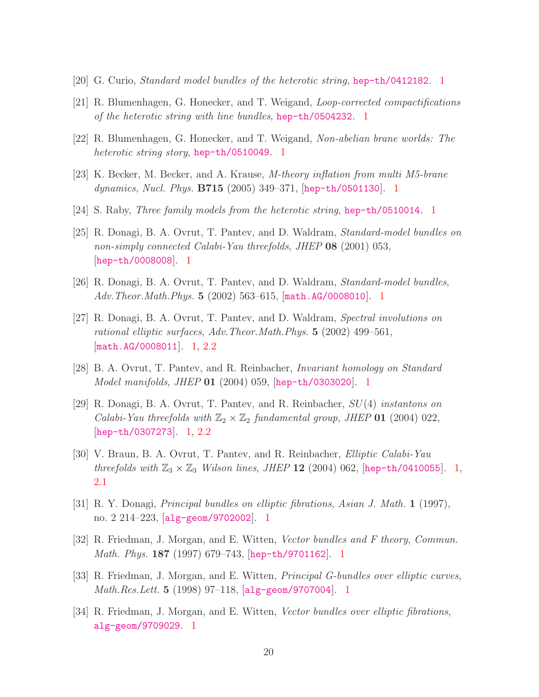- <span id="page-21-0"></span>[20] G. Curio, *Standard model bundles of the heterotic string*, [hep-th/0412182](http://xxx.lanl.gov/abs/hep-th/0412182). [1](#page-2-0)
- <span id="page-21-1"></span>[21] R. Blumenhagen, G. Honecker, and T. Weigand, *Loop-corrected compactifications of the heterotic string with line bundles*, [hep-th/0504232](http://xxx.lanl.gov/abs/hep-th/0504232). [1](#page-2-0)
- <span id="page-21-2"></span>[22] R. Blumenhagen, G. Honecker, and T. Weigand, *Non-abelian brane worlds: The heterotic string story*, [hep-th/0510049](http://xxx.lanl.gov/abs/hep-th/0510049). [1](#page-2-0)
- <span id="page-21-3"></span>[23] K. Becker, M. Becker, and A. Krause, *M-theory inflation from multi M5-brane dynamics*, *Nucl. Phys.* B715 (2005) 349–371, [[hep-th/0501130](http://xxx.lanl.gov/abs/hep-th/0501130)]. [1](#page-2-0)
- <span id="page-21-4"></span>[24] S. Raby, *Three family models from the heterotic string*, [hep-th/0510014](http://xxx.lanl.gov/abs/hep-th/0510014). [1](#page-2-0)
- <span id="page-21-5"></span>[25] R. Donagi, B. A. Ovrut, T. Pantev, and D. Waldram, *Standard-model bundles on non-simply connected Calabi-Yau threefolds*, *JHEP* 08 (2001) 053, [[hep-th/0008008](http://xxx.lanl.gov/abs/hep-th/0008008)]. [1](#page-2-0)
- <span id="page-21-6"></span>[26] R. Donagi, B. A. Ovrut, T. Pantev, and D. Waldram, *Standard-model bundles*, *Adv.Theor.Math.Phys.* 5 (2002) 563–615, [[math.AG/0008010](http://xxx.lanl.gov/abs/math.AG/0008010)]. [1](#page-2-0)
- <span id="page-21-7"></span>[27] R. Donagi, B. A. Ovrut, T. Pantev, and D. Waldram, *Spectral involutions on rational elliptic surfaces*, *Adv.Theor.Math.Phys.* 5 (2002) 499–561, [[math.AG/0008011](http://xxx.lanl.gov/abs/math.AG/0008011)]. [1,](#page-2-0) [2.2](#page-7-0)
- <span id="page-21-8"></span>[28] B. A. Ovrut, T. Pantev, and R. Reinbacher, *Invariant homology on Standard Model manifolds*, *JHEP* 01 (2004) 059, [[hep-th/0303020](http://xxx.lanl.gov/abs/hep-th/0303020)]. [1](#page-2-0)
- <span id="page-21-9"></span>[29] R. Donagi, B. A. Ovrut, T. Pantev, and R. Reinbacher, SU(4) *instantons on Calabi-Yau threefolds with*  $\mathbb{Z}_2 \times \mathbb{Z}_2$  *fundamental group, JHEP* **01** (2004) 022,  $[hep-th/0307273]$  $[hep-th/0307273]$  $[hep-th/0307273]$ . [1,](#page-2-0) [2.2](#page-7-0)
- <span id="page-21-10"></span>[30] V. Braun, B. A. Ovrut, T. Pantev, and R. Reinbacher, *Elliptic Calabi-Yau threefolds with*  $\mathbb{Z}_3 \times \mathbb{Z}_3$  *Wilson lines, JHEP* 12 (2004) 062, [[hep-th/0410055](http://xxx.lanl.gov/abs/hep-th/0410055)]. [1,](#page-2-0) [2.1](#page-6-1)
- <span id="page-21-11"></span>[31] R. Y. Donagi, *Principal bundles on elliptic fibrations*, *Asian J. Math.* 1 (1997), no. 2 214–223, [[alg-geom/9702002](http://xxx.lanl.gov/abs/alg-geom/9702002)]. [1](#page-2-0)
- <span id="page-21-12"></span>[32] R. Friedman, J. Morgan, and E. Witten, *Vector bundles and F theory*, *Commun. Math. Phys.* 187 (1997) 679–743, [[hep-th/9701162](http://xxx.lanl.gov/abs/hep-th/9701162)]. [1](#page-2-0)
- <span id="page-21-13"></span>[33] R. Friedman, J. Morgan, and E. Witten, *Principal G-bundles over elliptic curves*, *Math.Res.Lett.* 5 (1998) 97–118, [[alg-geom/9707004](http://xxx.lanl.gov/abs/alg-geom/9707004)]. [1](#page-2-0)
- <span id="page-21-14"></span>[34] R. Friedman, J. Morgan, and E. Witten, *Vector bundles over elliptic fibrations*, [alg-geom/9709029](http://xxx.lanl.gov/abs/alg-geom/9709029). [1](#page-2-0)